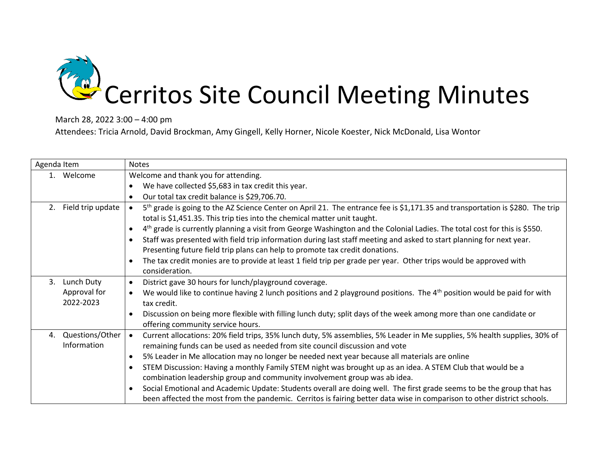

March 28, 2022 3:00 – 4:00 pm

Attendees: Tricia Arnold, David Brockman, Amy Gingell, Kelly Horner, Nicole Koester, Nick McDonald, Lisa Wontor

| Agenda Item |                   | <b>Notes</b>                                                                                                                                                                                                                        |
|-------------|-------------------|-------------------------------------------------------------------------------------------------------------------------------------------------------------------------------------------------------------------------------------|
|             | 1. Welcome        | Welcome and thank you for attending.                                                                                                                                                                                                |
|             |                   | We have collected \$5,683 in tax credit this year.                                                                                                                                                                                  |
|             |                   | Our total tax credit balance is \$29,706.70.                                                                                                                                                                                        |
| 2.          | Field trip update | 5 <sup>th</sup> grade is going to the AZ Science Center on April 21. The entrance fee is \$1,171.35 and transportation is \$280. The trip<br>$\bullet$<br>total is \$1,451.35. This trip ties into the chemical matter unit taught. |
|             |                   | 4 <sup>th</sup> grade is currently planning a visit from George Washington and the Colonial Ladies. The total cost for this is \$550.                                                                                               |
|             |                   | Staff was presented with field trip information during last staff meeting and asked to start planning for next year.                                                                                                                |
|             |                   | Presenting future field trip plans can help to promote tax credit donations.                                                                                                                                                        |
|             |                   | The tax credit monies are to provide at least 1 field trip per grade per year. Other trips would be approved with                                                                                                                   |
|             |                   | consideration.                                                                                                                                                                                                                      |
| 3.          | Lunch Duty        | District gave 30 hours for lunch/playground coverage.<br>$\bullet$                                                                                                                                                                  |
|             | Approval for      | We would like to continue having 2 lunch positions and 2 playground positions. The 4 <sup>th</sup> position would be paid for with<br>$\bullet$                                                                                     |
|             | 2022-2023         | tax credit.                                                                                                                                                                                                                         |
|             |                   | Discussion on being more flexible with filling lunch duty; split days of the week among more than one candidate or                                                                                                                  |
|             |                   | offering community service hours.                                                                                                                                                                                                   |
| 4.          | Questions/Other   | Current allocations: 20% field trips, 35% lunch duty, 5% assemblies, 5% Leader in Me supplies, 5% health supplies, 30% of<br>$\bullet$                                                                                              |
|             | Information       | remaining funds can be used as needed from site council discussion and vote                                                                                                                                                         |
|             |                   | 5% Leader in Me allocation may no longer be needed next year because all materials are online<br>$\bullet$                                                                                                                          |
|             |                   | STEM Discussion: Having a monthly Family STEM night was brought up as an idea. A STEM Club that would be a                                                                                                                          |
|             |                   | combination leadership group and community involvement group was ab idea.                                                                                                                                                           |
|             |                   | Social Emotional and Academic Update: Students overall are doing well. The first grade seems to be the group that has                                                                                                               |
|             |                   | been affected the most from the pandemic. Cerritos is fairing better data wise in comparison to other district schools.                                                                                                             |